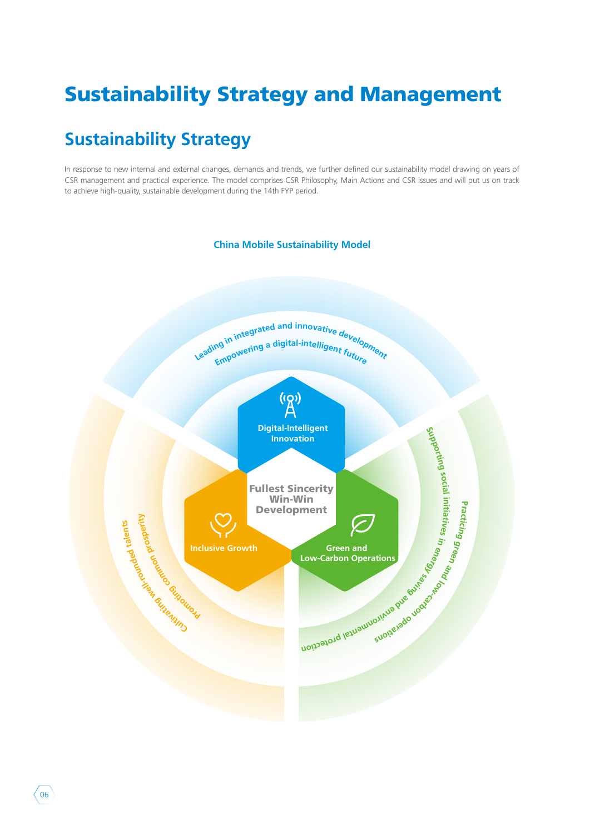# Sustainability Strategy and Management

## **Sustainability Strategy**

In response to new internal and external changes, demands and trends, we further defined our sustainability model drawing on years of CSR management and practical experience. The model comprises CSR Philosophy, Main Actions and CSR Issues and will put us on track to achieve high-quality, sustainable development during the 14th FYP period.



 $06$